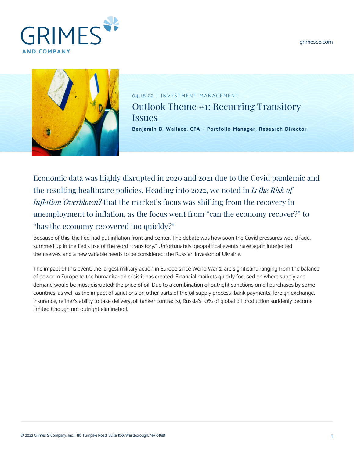[grimesco.com](https://www.grimesco.com)





04.18.22 | INVESTMENT MANAGEMENT Outlook Theme #1: Recurring Transitory **Issues [Benjamin B. Wallace, CFA – Portfolio Manager, Research Director](https://www.grimesco.com/team-member/benjamin-b-wallace-cfa/)**

Economic data was highly disrupted in 2020 and 2021 due to the Covid pandemic and the resulting healthcare policies. Heading into 2022, we noted in *[Is the Risk of](https://www.grimesco.com/2022-outlook-theme-1-is-the-risk-of-inflation-overblown/) [Inflation Overblown?](https://www.grimesco.com/2022-outlook-theme-1-is-the-risk-of-inflation-overblown/)* that the market's focus was shifting from the recovery in unemployment to inflation, as the focus went from "can the economy recover?" to "has the economy recovered too quickly?"

Because of this, the Fed had put inflation front and center. The debate was how soon the Covid pressures would fade, summed up in the Fed's use of the word "transitory." Unfortunately, geopolitical events have again interjected themselves, and a new variable needs to be considered: the Russian invasion of Ukraine.

The impact of this event, the largest military action in Europe since World War 2, are significant, ranging from the balance of power in Europe to the humanitarian crisis it has created. Financial markets quickly focused on where supply and demand would be most disrupted: the price of oil. Due to a combination of outright sanctions on oil purchases by some countries, as well as the impact of sanctions on other parts of the oil supply process (bank payments, foreign exchange, insurance, refiner's ability to take delivery, oil tanker contracts), Russia's 10% of global oil production suddenly become limited (though not outright eliminated).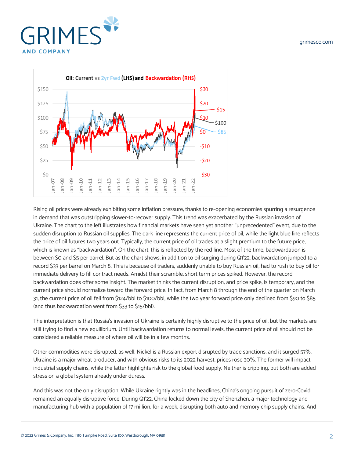





Rising oil prices were already exhibiting some inflation pressure, thanks to re-opening economies spurring a resurgence in demand that was outstripping slower-to-recover supply. This trend was exacerbated by the Russian invasion of Ukraine. The chart to the left illustrates how financial markets have seen yet another "unprecedented" event, due to the sudden disruption to Russian oil supplies. The dark line represents the current price of oil, while the light blue line reflects the price of oil futures two years out. Typically, the current price of oil trades at a slight premium to the future price, which is known as "backwardation". On the chart, this is reflected by the red line. Most of the time, backwardation is between \$0 and \$5 per barrel. But as the chart shows, in addition to oil surging during Q1'22, backwardation jumped to a record \$33 per barrel on March 8. This is because oil traders, suddenly unable to buy Russian oil, had to rush to buy oil for immediate delivery to fill contract needs. Amidst their scramble, short term prices spiked. However, the record backwardation does offer some insight. The market thinks the current disruption, and price spike, is temporary, and the current price should normalize toward the forward price. In fact, from March 8 through the end of the quarter on March 31, the current price of oil fell from \$124/bbl to \$100/bbl, while the two year forward price only declined from \$90 to \$85 (and thus backwardation went from \$33 to \$15/bbl).

The interpretation is that Russia's invasion of Ukraine is certainly highly disruptive to the price of oil, but the markets are still trying to find a new equilibrium. Until backwardation returns to normal levels, the current price of oil should not be considered a reliable measure of where oil will be in a few months.

Other commodities were disrupted, as well. Nickel is a Russian export disrupted by trade sanctions, and it surged 57%. Ukraine is a major wheat producer, and with obvious risks to its 2022 harvest, prices rose 30%. The former will impact industrial supply chains, while the latter highlights risk to the global food supply. Neither is crippling, but both are added stress on a global system already under duress.

And this was not the only disruption. While Ukraine rightly was in the headlines, China's ongoing pursuit of zero-Covid remained an equally disruptive force. During Q1'22, China locked down the city of Shenzhen, a major technology and manufacturing hub with a population of 17 million, for a week, disrupting both auto and memory chip supply chains. And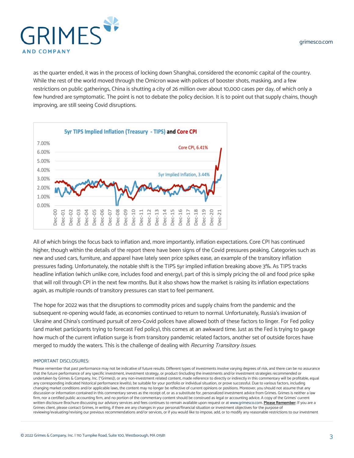

as the quarter ended, it was in the process of locking down Shanghai, considered the economic capital of the country. While the rest of the world moved through the Omicron wave with polices of booster shots, masking, and a few restrictions on public gatherings, China is shutting a city of 26 million over about 10,000 cases per day, of which only a few hundred are symptomatic. The point is not to debate the policy decision. It is to point out that supply chains, though improving, are still seeing Covid disruptions.



All of which brings the focus back to inflation and, more importantly, inflation expectations. Core CPI has continued higher, though within the details of the report there have been signs of the Covid pressures peaking. Categories such as new and used cars, furniture, and apparel have lately seen price spikes ease, an example of the transitory inflation pressures fading. Unfortunately, the notable shift is the TIPS 5yr implied inflation breaking above 3%. As TIPS tracks headline inflation (which unlike core, includes food and energy), part of this is simply pricing the oil and food price spike that will roll through CPI in the next few months. But it also shows how the market is raising its inflation expectations again, as multiple rounds of transitory pressures can start to feel permanent.

The hope for 2022 was that the disruptions to commodity prices and supply chains from the pandemic and the subsequent re-opening would fade, as economies continued to return to normal. Unfortunately, Russia's invasion of Ukraine and China's continued pursuit of zero-Covid polices have allowed both of these factors to linger. For Fed policy (and market participants trying to forecast Fed policy), this comes at an awkward time. Just as the Fed is trying to gauge how much of the current inflation surge is from transitory pandemic related factors, another set of outside forces have merged to muddy the waters. This is the challenge of dealing with Recurring Transitory Issues.

## IMPORTANT DISCLOSURES:

Please remember that past performance may not be indicative of future results. Different types of investments involve varying degrees of risk, and there can be no assurance that the future performance of any specific investment, investment strategy, or product (including the investments and/or investment strategies recommended or undertaken by Grimes & Company, Inc. ["Grimes]), or any non-investment related content, made reference to directly or indirectly in this commentary will be profitable, equal any corresponding indicated historical performance level(s), be suitable for your portfolio or individual situation, or prove successful. Due to various factors, including changing market conditions and/or applicable laws, the content may no longer be reflective of current opinions or positions. Moreover, you should not assume that any discussion or information contained in this commentary serves as the receipt of, or as a substitute for, personalized investment advice from Grimes. Grimes is neither a law firm, nor a certified public accounting firm, and no portion of the commentary content should be construed as legal or accounting advice. A copy of the Grimes' current written disclosure Brochure discussing our advisory services and fees continues to remain available upon request or at [www.grimesco.com](http://www.grimesco.com). **Please Remember:** If you are a Grimes client, please contact Grimes, in writing, if there are any changes in your personal/financial situation or investment objectives for the purpose of reviewing/evaluating/revising our previous recommendations and/or services, or if you would like to impose, add, or to modify any reasonable restrictions to our investment